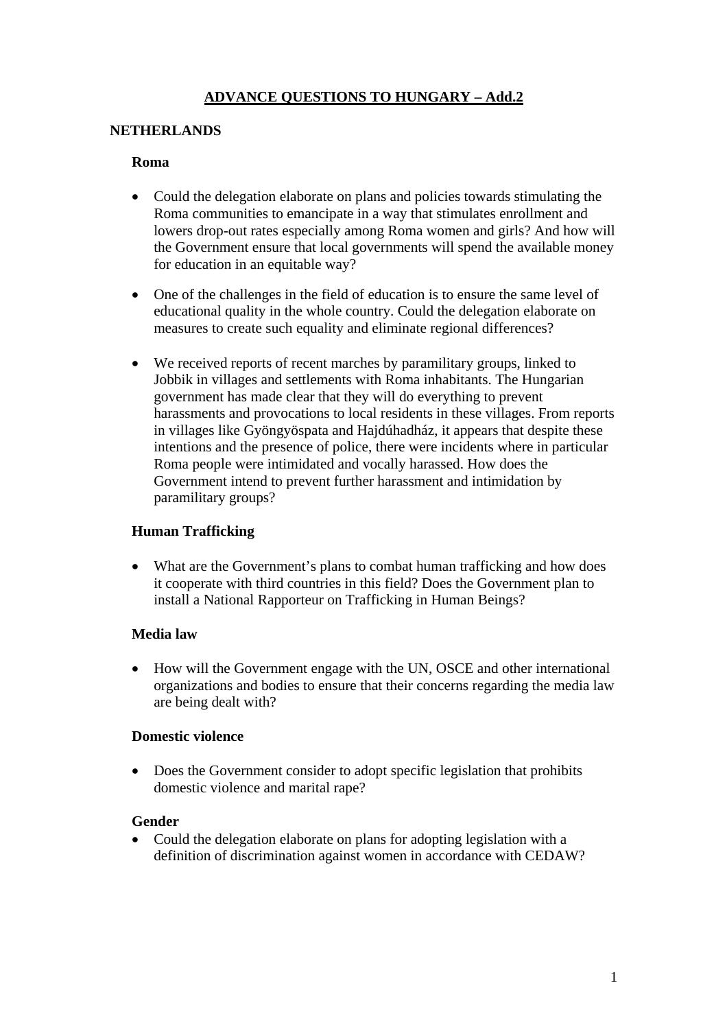# **ADVANCE QUESTIONS TO HUNGARY – Add.2**

#### **NETHERLANDS**

#### **Roma**

- Could the delegation elaborate on plans and policies towards stimulating the Roma communities to emancipate in a way that stimulates enrollment and lowers drop-out rates especially among Roma women and girls? And how will the Government ensure that local governments will spend the available money for education in an equitable way?
- One of the challenges in the field of education is to ensure the same level of educational quality in the whole country. Could the delegation elaborate on measures to create such equality and eliminate regional differences?
- We received reports of recent marches by paramilitary groups, linked to Jobbik in villages and settlements with Roma inhabitants. The Hungarian government has made clear that they will do everything to prevent harassments and provocations to local residents in these villages. From reports in villages like Gyöngyöspata and Hajdúhadház, it appears that despite these intentions and the presence of police, there were incidents where in particular Roma people were intimidated and vocally harassed. How does the Government intend to prevent further harassment and intimidation by paramilitary groups?

## **Human Trafficking**

What are the Government's plans to combat human trafficking and how does it cooperate with third countries in this field? Does the Government plan to install a National Rapporteur on Trafficking in Human Beings?

## **Media law**

• How will the Government engage with the UN, OSCE and other international organizations and bodies to ensure that their concerns regarding the media law are being dealt with?

#### **Domestic violence**

• Does the Government consider to adopt specific legislation that prohibits domestic violence and marital rape?

## **Gender**

• Could the delegation elaborate on plans for adopting legislation with a definition of discrimination against women in accordance with CEDAW?